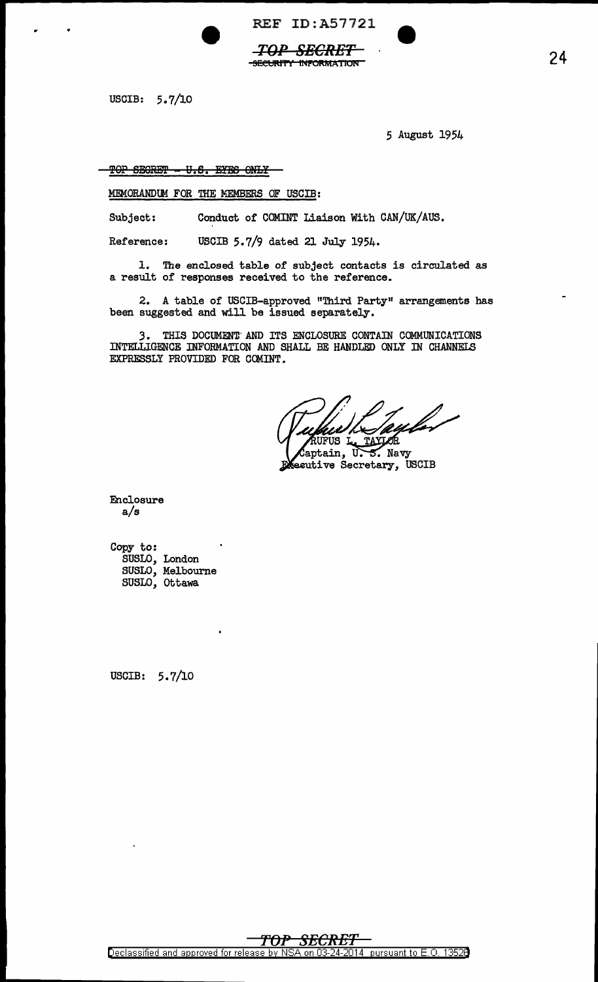REF ID:A57721

*TOP SECRET*  SECURITY INFORMATION

USCIB: 5.7/10

5 August 1954

TOP SECRET - U.S. EYES ONLY

MEMORANDUM FOR THE MEMBERS OF USCIB:

Subject: Conduct of COMINT Liaison With CAN/UK/AUS.

Reference: USCIB 5.7/9 dated 21 July 1954.

1. The enclosed table of subject contacts is circulated as a result of responses received to the reference.

2. A table of USCIB-approved "Third Party" arrangements has been suggested and will be issued separately.

3. THIS DOCUMEN'D'AND ITS ENCLOSURE CONTAIN COMMUNICATIONS INTELLIGENCE INFORMATION AND SHALL BE HANDLED ONLY IN CHANNELS EXPRESSLY PROVIDED FOR COMINT.

**NUFUS L.** TAXJOR

 $\delta$ aptain, U.  $5.$  Navy Executive Secretary, USCIB

Enclosure a/s

Copy to: SUSLO, London SUSLO, Melbourne SUSLO, Ottawa

USCIB: 5.7/10